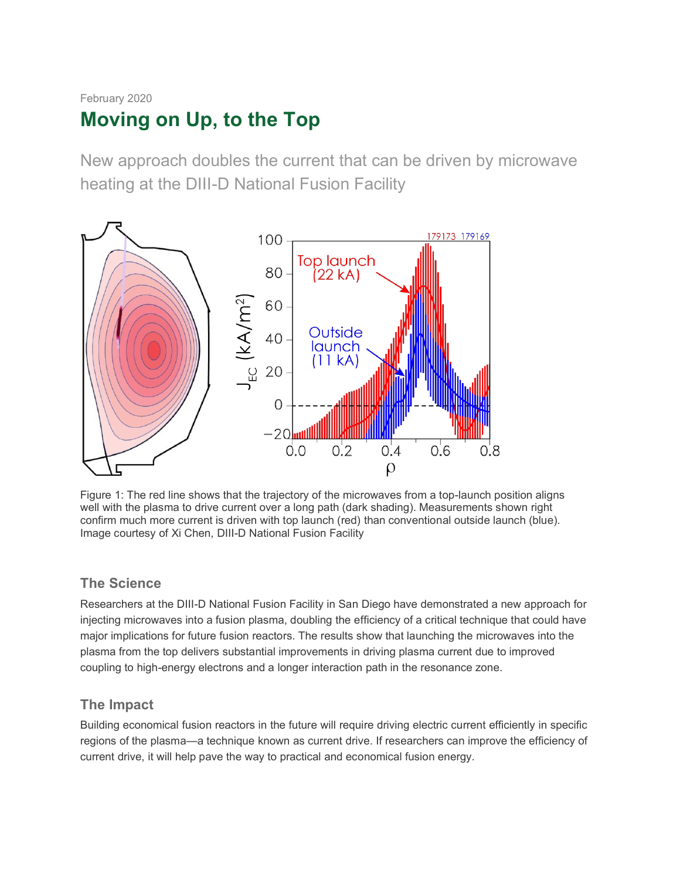# February 2020 **Moving on Up, to the Top**

New approach doubles the current that can be driven by microwave heating at the DIII-D National Fusion Facility



Figure 1: The red line shows that the trajectory of the microwaves from a top-launch position aligns well with the plasma to drive current over a long path (dark shading). Measurements shown right confirm much more current is driven with top launch (red) than conventional outside launch (blue). Image courtesy of Xi Chen, DIII-D National Fusion Facility

## **The Science**

Researchers at the DIII-D National Fusion Facility in San Diego have demonstrated a new approach for injecting microwaves into a fusion plasma, doubling the efficiency of a critical technique that could have major implications for future fusion reactors. The results show that launching the microwaves into the plasma from the top delivers substantial improvements in driving plasma current due to improved coupling to high-energy electrons and a longer interaction path in the resonance zone.

# **The Impact**

Building economical fusion reactors in the future will require driving electric current efficiently in specific regions of the plasma—a technique known as current drive. If researchers can improve the efficiency of current drive, it will help pave the way to practical and economical fusion energy.